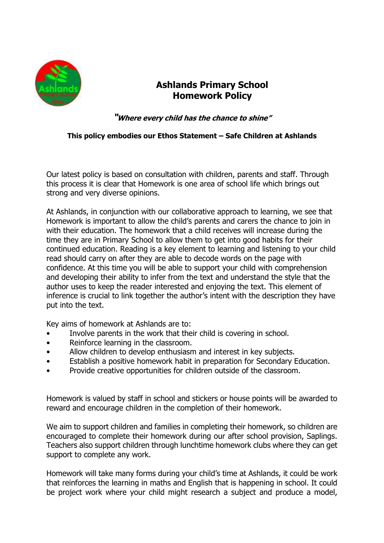

## **Ashlands Primary School Homework Policy**

**"Where every child has the chance to shine"**

## **This policy embodies our Ethos Statement – Safe Children at Ashlands**

Our latest policy is based on consultation with children, parents and staff. Through this process it is clear that Homework is one area of school life which brings out strong and very diverse opinions.

At Ashlands, in conjunction with our collaborative approach to learning, we see that Homework is important to allow the child's parents and carers the chance to join in with their education. The homework that a child receives will increase during the time they are in Primary School to allow them to get into good habits for their continued education. Reading is a key element to learning and listening to your child read should carry on after they are able to decode words on the page with confidence. At this time you will be able to support your child with comprehension and developing their ability to infer from the text and understand the style that the author uses to keep the reader interested and enjoying the text. This element of inference is crucial to link together the author's intent with the description they have put into the text.

Key aims of homework at Ashlands are to:

- Involve parents in the work that their child is covering in school.
- Reinforce learning in the classroom.
- Allow children to develop enthusiasm and interest in key subjects.
- Establish a positive homework habit in preparation for Secondary Education.
- Provide creative opportunities for children outside of the classroom.

Homework is valued by staff in school and stickers or house points will be awarded to reward and encourage children in the completion of their homework.

We aim to support children and families in completing their homework, so children are encouraged to complete their homework during our after school provision, Saplings. Teachers also support children through lunchtime homework clubs where they can get support to complete any work.

Homework will take many forms during your child's time at Ashlands, it could be work that reinforces the learning in maths and English that is happening in school. It could be project work where your child might research a subject and produce a model,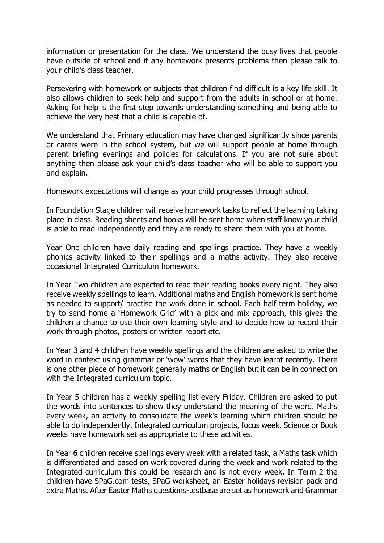information or presentation for the class. We understand the busy lives that people have outside of school and if any homework presents problems then please talk to your child's class teacher.

Persevering with homework or subjects that children find difficult is a key life skill. It also allows children to seek help and support from the adults in school or at home. Asking for help is the first step towards understanding something and being able to achieve the very best that a child is capable of.

We understand that Primary education may have changed significantly since parents or carers were in the school system, but we will support people at home through parent briefing evenings and policies for calculations. If you are not sure about anything then please ask your child's class teacher who will be able to support you and explain.

Homework expectations will change as your child progresses through school.

In Foundation Stage children will receive homework tasks to reflect the learning taking place in class. Reading sheets and books will be sent home when staff know your child is able to read independently and they are ready to share them with you at home.

Year One children have daily reading and spellings practice. They have a weekly phonics activity linked to their spellings and a maths activity. They also receive occasional Integrated Curriculum homework.

In Year Two children are expected to read their reading books every night. They also receive weekly spellings to learn. Additional maths and English homework is sent home as needed to support/ practise the work done in school. Each half term holiday, we try to send home a 'Homework Grid' with a pick and mix approach, this gives the children a chance to use their own learning style and to decide how to record their work through photos, posters or written report etc.

In Year 3 and 4 children have weekly spellings and the children are asked to write the word in context using grammar or 'wow' words that they have learnt recently. There is one other piece of homework generally maths or English but it can be in connection with the Integrated curriculum topic.

In Year 5 children has a weekly spelling list every Friday. Children are asked to put the words into sentences to show they understand the meaning of the word. Maths every week, an activity to consolidate the week's learning which children should be able to do independently. Integrated curriculum projects, focus week, Science or Book weeks have homework set as appropriate to these activities.

In Year 6 children receive spellings every week with a related task, a Maths task which is differentiated and based on work covered during the week and work related to the Integrated curriculum this could be research and is not every week. In Term 2 the children have SPaG.com tests, SPaG worksheet, an Easter holidays revision pack and extra Maths. After Easter Maths questions-testbase are set as homework and Grammar